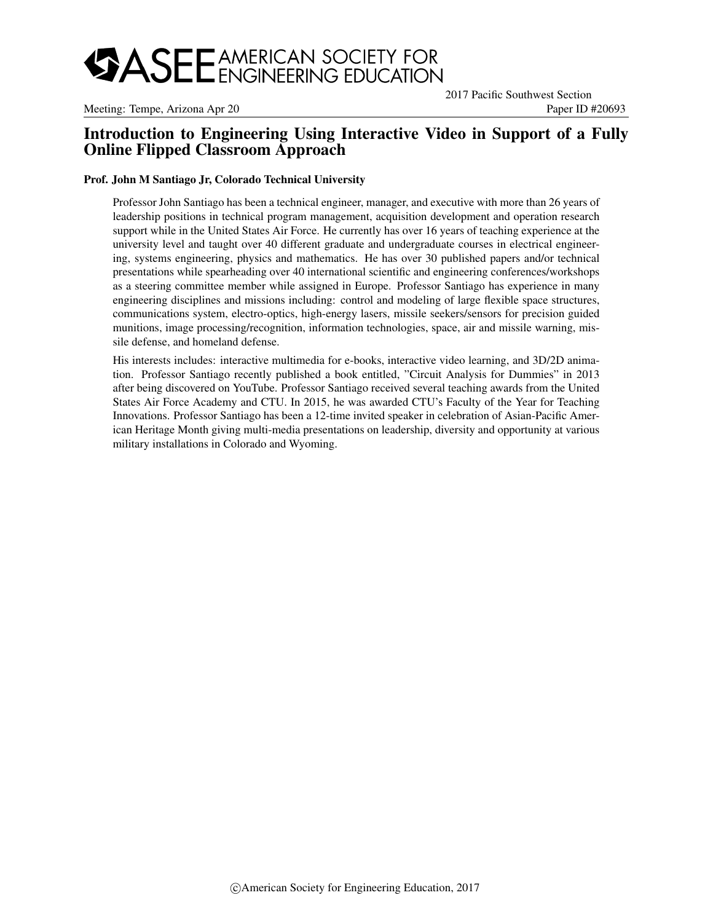# **SASEE** AMERICAN SOCIETY FOR

Meeting: Tempe, Arizona Apr 20 Paper ID #20693

2017 Pacific Southwest Section

# Introduction to Engineering Using Interactive Video in Support of a Fully Online Flipped Classroom Approach

#### Prof. John M Santiago Jr, Colorado Technical University

Professor John Santiago has been a technical engineer, manager, and executive with more than 26 years of leadership positions in technical program management, acquisition development and operation research support while in the United States Air Force. He currently has over 16 years of teaching experience at the university level and taught over 40 different graduate and undergraduate courses in electrical engineering, systems engineering, physics and mathematics. He has over 30 published papers and/or technical presentations while spearheading over 40 international scientific and engineering conferences/workshops as a steering committee member while assigned in Europe. Professor Santiago has experience in many engineering disciplines and missions including: control and modeling of large flexible space structures, communications system, electro-optics, high-energy lasers, missile seekers/sensors for precision guided munitions, image processing/recognition, information technologies, space, air and missile warning, missile defense, and homeland defense.

His interests includes: interactive multimedia for e-books, interactive video learning, and 3D/2D animation. Professor Santiago recently published a book entitled, "Circuit Analysis for Dummies" in 2013 after being discovered on YouTube. Professor Santiago received several teaching awards from the United States Air Force Academy and CTU. In 2015, he was awarded CTU's Faculty of the Year for Teaching Innovations. Professor Santiago has been a 12-time invited speaker in celebration of Asian-Pacific American Heritage Month giving multi-media presentations on leadership, diversity and opportunity at various military installations in Colorado and Wyoming.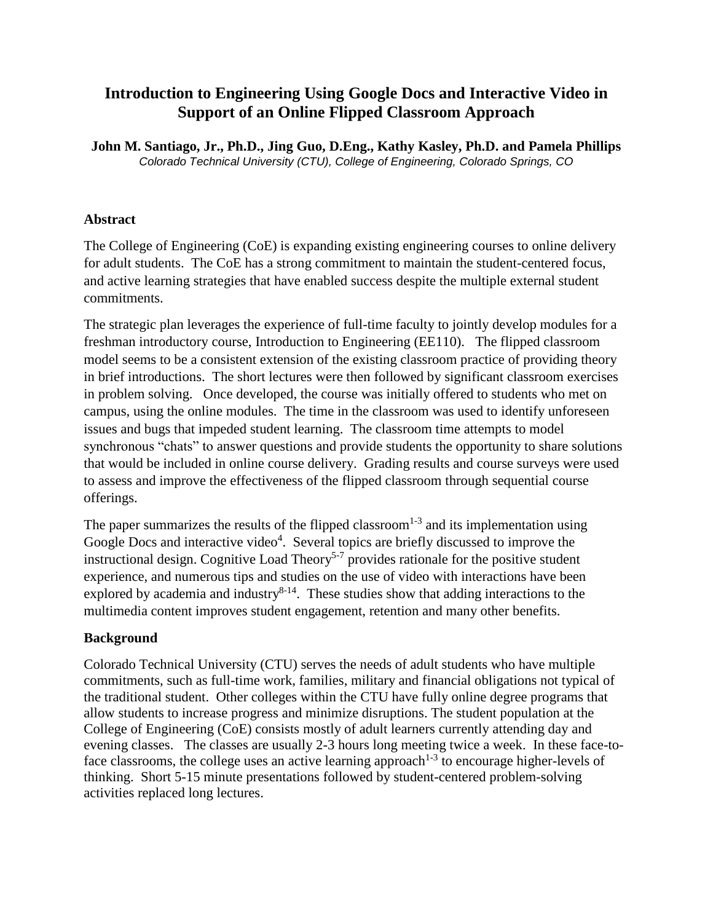# **Introduction to Engineering Using Google Docs and Interactive Video in Support of an Online Flipped Classroom Approach**

**John M. Santiago, Jr., Ph.D., Jing Guo, D.Eng., Kathy Kasley, Ph.D. and Pamela Phillips** *Colorado Technical University (CTU), College of Engineering, Colorado Springs, CO*

## **Abstract**

The College of Engineering (CoE) is expanding existing engineering courses to online delivery for adult students. The CoE has a strong commitment to maintain the student-centered focus, and active learning strategies that have enabled success despite the multiple external student commitments.

The strategic plan leverages the experience of full-time faculty to jointly develop modules for a freshman introductory course, Introduction to Engineering (EE110). The flipped classroom model seems to be a consistent extension of the existing classroom practice of providing theory in brief introductions. The short lectures were then followed by significant classroom exercises in problem solving. Once developed, the course was initially offered to students who met on campus, using the online modules. The time in the classroom was used to identify unforeseen issues and bugs that impeded student learning. The classroom time attempts to model synchronous "chats" to answer questions and provide students the opportunity to share solutions that would be included in online course delivery. Grading results and course surveys were used to assess and improve the effectiveness of the flipped classroom through sequential course offerings.

The paper summarizes the results of the flipped classroom<sup>1-3</sup> and its implementation using Google Docs and interactive video<sup>4</sup>. Several topics are briefly discussed to improve the instructional design. Cognitive Load Theory<sup>5-7</sup> provides rationale for the positive student experience, and numerous tips and studies on the use of video with interactions have been explored by academia and industry $8-14$ . These studies show that adding interactions to the multimedia content improves student engagement, retention and many other benefits.

## **Background**

Colorado Technical University (CTU) serves the needs of adult students who have multiple commitments, such as full-time work, families, military and financial obligations not typical of the traditional student. Other colleges within the CTU have fully online degree programs that allow students to increase progress and minimize disruptions. The student population at the College of Engineering (CoE) consists mostly of adult learners currently attending day and evening classes. The classes are usually 2-3 hours long meeting twice a week. In these face-toface classrooms, the college uses an active learning approach<sup>1-3</sup> to encourage higher-levels of thinking. Short 5-15 minute presentations followed by student-centered problem-solving activities replaced long lectures.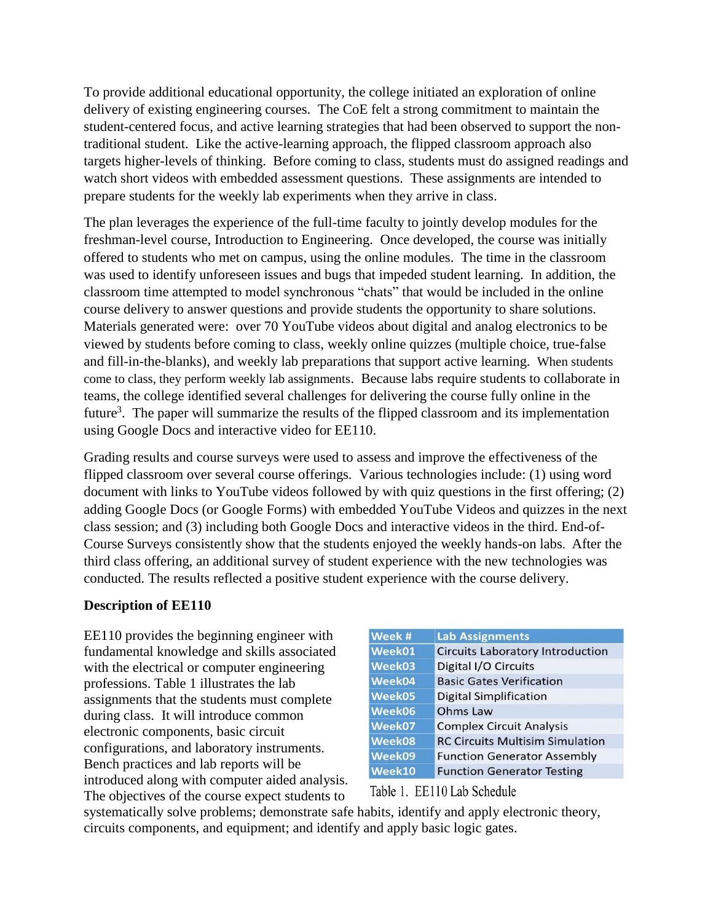To provide additional educational opportunity, the college initiated an exploration of online delivery of existing engineering courses. The CoE felt a strong commitment to maintain the student-centered focus, and active learning strategies that had been observed to support the nontraditional student. Like the active-learning approach, the flipped classroom approach also targets higher-levels of thinking. Before coming to class, students must do assigned readings and watch short videos with embedded assessment questions. These assignments are intended to prepare students for the weekly lab experiments when they arrive in class.

The plan leverages the experience of the full-time faculty to jointly develop modules for the freshman-level course, Introduction to Engineering. Once developed, the course was initially offered to students who met on campus, using the online modules. The time in the classroom was used to identify unforeseen issues and bugs that impeded student learning. In addition, the classroom time attempted to model synchronous "chats" that would be included in the online course delivery to answer questions and provide students the opportunity to share solutions. Materials generated were: over 70 YouTube videos about digital and analog electronics to be viewed by students before coming to class, weekly online quizzes (multiple choice, true-false and fill-in-the-blanks), and weekly lab preparations that support active learning. When students come to class, they perform weekly lab assignments. Because labs require students to collaborate in teams, the college identified several challenges for delivering the course fully online in the future<sup>3</sup>. The paper will summarize the results of the flipped classroom and its implementation using Google Docs and interactive video for EE110.

Grading results and course surveys were used to assess and improve the effectiveness of the flipped classroom over several course offerings. Various technologies include: (1) using word document with links to YouTube videos followed by with quiz questions in the first offering; (2) adding Google Docs (or Google Forms) with embedded YouTube Videos and quizzes in the next class session; and (3) including both Google Docs and interactive videos in the third. End-of-Course Surveys consistently show that the students enjoyed the weekly hands-on labs. After the third class offering, an additional survey of student experience with the new technologies was conducted. The results reflected a positive student experience with the course delivery.

### **Description of EE110**

EE110 provides the beginning engineer with fundamental knowledge and skills associated with the electrical or computer engineering professions. Table 1 illustrates the lab assignments that the students must complete during class. It will introduce common electronic components, basic circuit configurations, and laboratory instruments. Bench practices and lab reports will be introduced along with computer aided analysis. The objectives of the course expect students to

| Week # | <b>Lab Assignments</b>                  |
|--------|-----------------------------------------|
| Week01 | <b>Circuits Laboratory Introduction</b> |
| Week03 | Digital I/O Circuits                    |
| Week04 | <b>Basic Gates Verification</b>         |
| Week05 | <b>Digital Simplification</b>           |
| Week06 | Ohms Law                                |
| Week07 | <b>Complex Circuit Analysis</b>         |
| Week08 | <b>RC Circuits Multisim Simulation</b>  |
| Week09 | <b>Function Generator Assembly</b>      |
| Week10 | <b>Function Generator Testing</b>       |

### Table 1. EE110 Lab Schedule

systematically solve problems; demonstrate safe habits, identify and apply electronic theory, circuits components, and equipment; and identify and apply basic logic gates.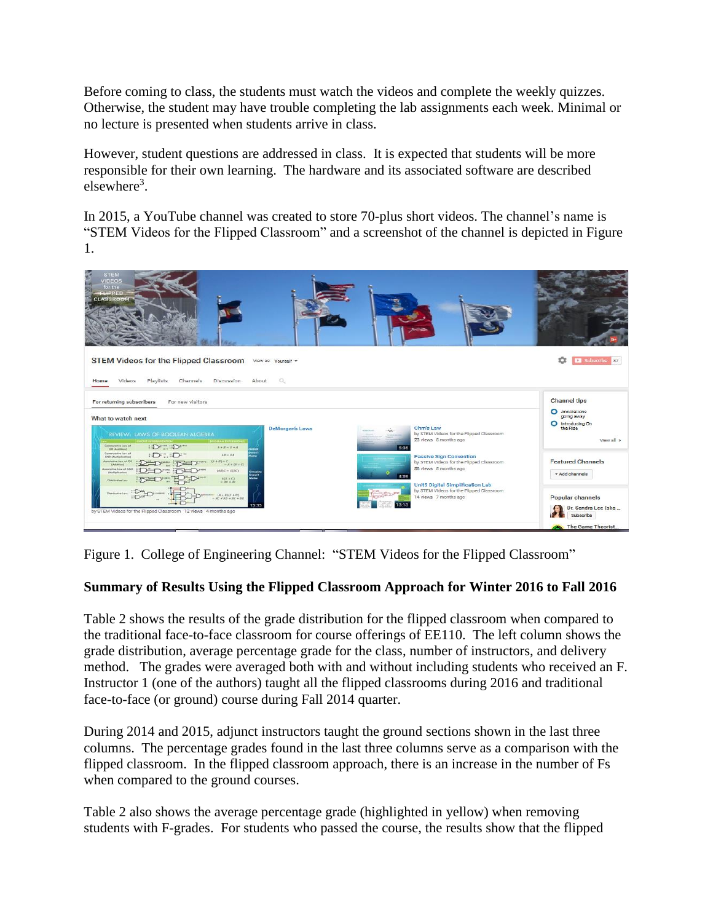Before coming to class, the students must watch the videos and complete the weekly quizzes. Otherwise, the student may have trouble completing the lab assignments each week. Minimal or no lecture is presented when students arrive in class.

However, student questions are addressed in class. It is expected that students will be more responsible for their own learning. The hardware and its associated software are described elsewhere<sup>3</sup>.

In 2015, a YouTube channel was created to store 70-plus short videos. The channel's name is "STEM Videos for the Flipped Classroom" and a screenshot of the channel is depicted in Figure 1.



Figure 1. College of Engineering Channel: "STEM Videos for the Flipped Classroom"

# **Summary of Results Using the Flipped Classroom Approach for Winter 2016 to Fall 2016**

Table 2 shows the results of the grade distribution for the flipped classroom when compared to the traditional face-to-face classroom for course offerings of EE110. The left column shows the grade distribution, average percentage grade for the class, number of instructors, and delivery method. The grades were averaged both with and without including students who received an F. Instructor 1 (one of the authors) taught all the flipped classrooms during 2016 and traditional face-to-face (or ground) course during Fall 2014 quarter.

During 2014 and 2015, adjunct instructors taught the ground sections shown in the last three columns. The percentage grades found in the last three columns serve as a comparison with the flipped classroom. In the flipped classroom approach, there is an increase in the number of Fs when compared to the ground courses.

Table 2 also shows the average percentage grade (highlighted in yellow) when removing students with F-grades. For students who passed the course, the results show that the flipped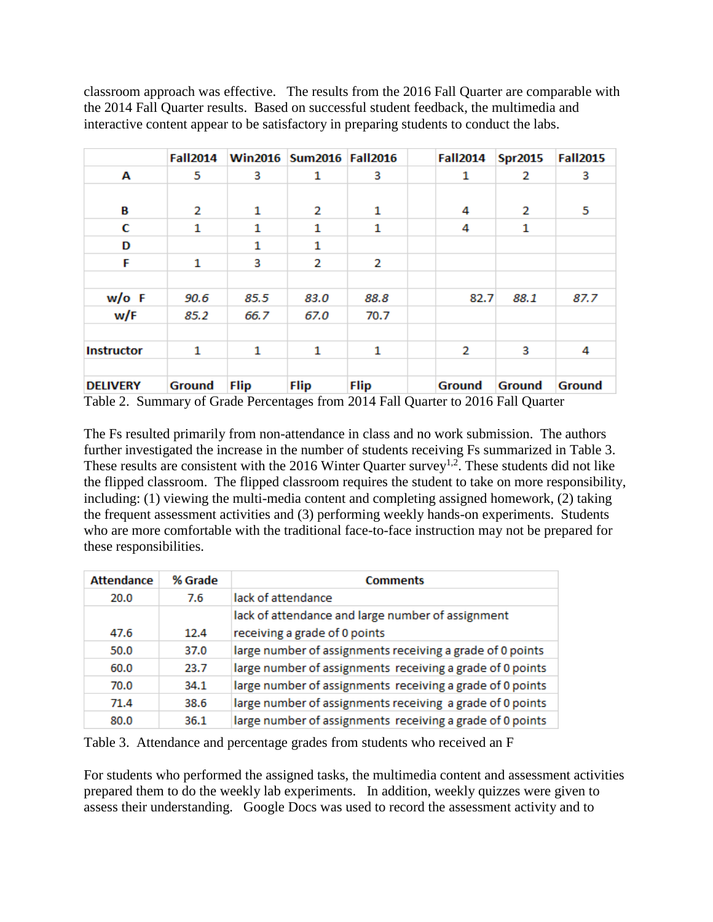classroom approach was effective. The results from the 2016 Fall Quarter are comparable with the 2014 Fall Quarter results. Based on successful student feedback, the multimedia and interactive content appear to be satisfactory in preparing students to conduct the labs.

|                   | <b>Fall2014</b> |             | Win2016 Sum2016 Fall2016 |             | <b>Fall2014</b> | <b>Spr2015</b> | <b>Fall2015</b> |
|-------------------|-----------------|-------------|--------------------------|-------------|-----------------|----------------|-----------------|
| А                 | 5               | з           | 1                        | з           | 1               | 2              | з               |
|                   |                 |             |                          |             |                 |                |                 |
| В                 | 2               | 1           | 2                        | 1           | 4               | 2              | 5               |
| С                 | 1               | 1           | 1                        | 1           | 4               | 1              |                 |
| D                 |                 | 1           | 1                        |             |                 |                |                 |
| F                 | 1               | 3           | 2                        | 2           |                 |                |                 |
|                   |                 |             |                          |             |                 |                |                 |
| w/o F             | 90.6            | 85.5        | 83.0                     | 88.8        | 82.7            | 88.1           | 87.7            |
| w/F               | 85.2            | 66.7        | 67.0                     | 70.7        |                 |                |                 |
|                   |                 |             |                          |             |                 |                |                 |
| <b>Instructor</b> | 1               | 1           | 1                        | 1           | 2               | з              | 4               |
|                   |                 |             |                          |             |                 |                |                 |
| <b>DELIVERY</b>   | Ground          | <b>Flip</b> | <b>Flip</b>              | <b>Flip</b> | Ground          | <b>Ground</b>  | Ground          |

Table 2. Summary of Grade Percentages from 2014 Fall Quarter to 2016 Fall Quarter

The Fs resulted primarily from non-attendance in class and no work submission. The authors further investigated the increase in the number of students receiving Fs summarized in Table 3. These results are consistent with the 2016 Winter Quarter survey<sup>1,2</sup>. These students did not like the flipped classroom. The flipped classroom requires the student to take on more responsibility, including: (1) viewing the multi-media content and completing assigned homework, (2) taking the frequent assessment activities and (3) performing weekly hands-on experiments. Students who are more comfortable with the traditional face-to-face instruction may not be prepared for these responsibilities.

| <b>Attendance</b> | % Grade | <b>Comments</b>                                                                    |
|-------------------|---------|------------------------------------------------------------------------------------|
| 20.0              | 7.6     | lack of attendance                                                                 |
| 47.6              | 12.4    | lack of attendance and large number of assignment<br>receiving a grade of 0 points |
| 50.0              | 37.0    | large number of assignments receiving a grade of 0 points                          |
| 60.0              | 23.7    | large number of assignments receiving a grade of 0 points                          |
| 70.0              | 34.1    | large number of assignments receiving a grade of 0 points                          |
| 71.4              | 38.6    | large number of assignments receiving a grade of 0 points                          |
| 80.0              | 36.1    | large number of assignments receiving a grade of 0 points                          |

Table 3. Attendance and percentage grades from students who received an F

For students who performed the assigned tasks, the multimedia content and assessment activities prepared them to do the weekly lab experiments. In addition, weekly quizzes were given to assess their understanding. Google Docs was used to record the assessment activity and to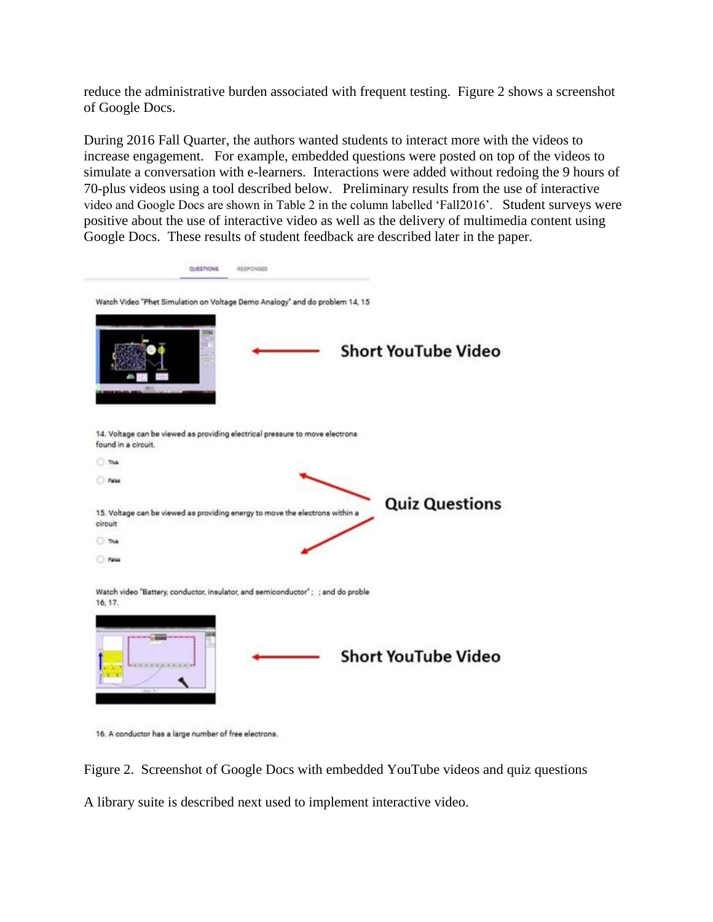reduce the administrative burden associated with frequent testing. Figure 2 shows a screenshot of Google Docs.

During 2016 Fall Quarter, the authors wanted students to interact more with the videos to increase engagement. For example, embedded questions were posted on top of the videos to simulate a conversation with e-learners. Interactions were added without redoing the 9 hours of 70-plus videos using a tool described below. Preliminary results from the use of interactive video and Google Docs are shown in Table 2 in the column labelled 'Fall2016'. Student surveys were positive about the use of interactive video as well as the delivery of multimedia content using Google Docs. These results of student feedback are described later in the paper.

| <b>OUESTIONS</b>    | REEPONSES                                                                       |                            |
|---------------------|---------------------------------------------------------------------------------|----------------------------|
|                     | Watch Video "Phet Simulation on Voltage Demo Analogy" and do problem 14, 15     |                            |
|                     |                                                                                 | <b>Short YouTube Video</b> |
| found in a circuit. | 14. Voltage can be viewed as providing electrical pressure to move electrons    |                            |
| That                |                                                                                 |                            |
| Paloe               |                                                                                 |                            |
| circuit             | 15. Voltage can be viewed as providing energy to move the electrons within a    | <b>Quiz Questions</b>      |
| ⊙ TNA               |                                                                                 |                            |
| $O$ . False         |                                                                                 |                            |
| 16, 17.             | Watch video "Battery, conductor, insulator, and semiconductor"; ; and do proble |                            |
|                     |                                                                                 | <b>Short YouTube Video</b> |

16. A conductor has a large number of free electrons.

Figure 2. Screenshot of Google Docs with embedded YouTube videos and quiz questions A library suite is described next used to implement interactive video.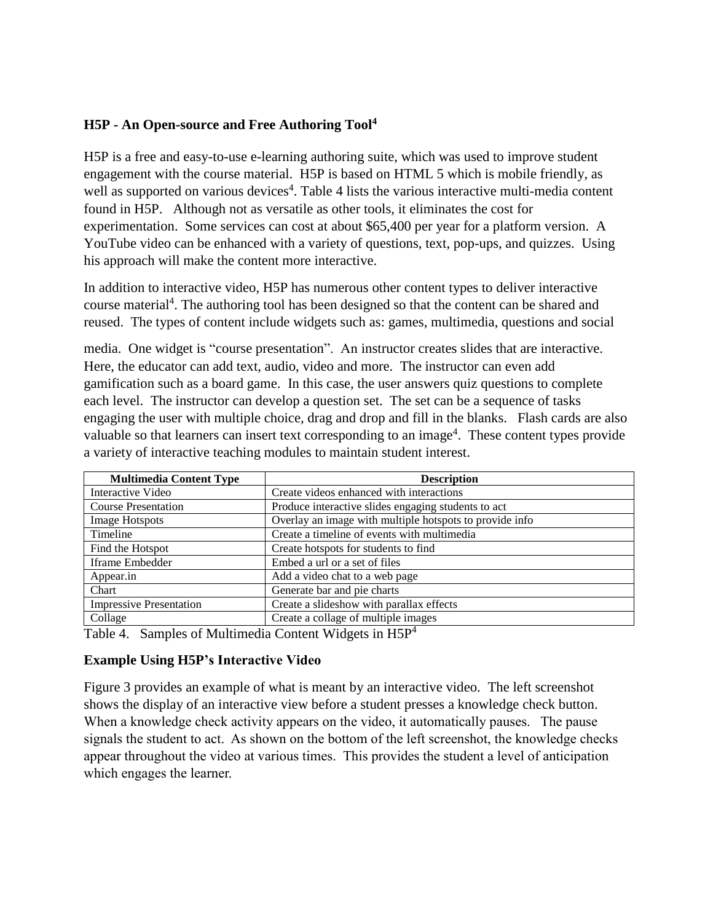## **H5P - An Open-source and Free Authoring Tool 4**

H5P is a free and easy-to-use e-learning authoring suite, which was used to improve student engagement with the course material. H5P is based on HTML 5 which is mobile friendly, as well as supported on various devices<sup>4</sup>. Table 4 lists the various interactive multi-media content found in H5P. Although not as versatile as other tools, it eliminates the cost for experimentation. Some services can cost at about \$65,400 per year for a platform version. A YouTube video can be enhanced with a variety of questions, text, pop-ups, and quizzes. Using his approach will make the content more interactive.

In addition to interactive video, H5P has numerous other content types to deliver interactive course material<sup>4</sup>. The authoring tool has been designed so that the content can be shared and reused. The types of content include widgets such as: games, multimedia, questions and social

media. One widget is "course presentation". An instructor creates slides that are interactive. Here, the educator can add text, audio, video and more. The instructor can even add gamification such as a board game. In this case, the user answers quiz questions to complete each level. The instructor can develop a question set. The set can be a sequence of tasks engaging the user with multiple choice, drag and drop and fill in the blanks. Flash cards are also valuable so that learners can insert text corresponding to an image<sup>4</sup>. These content types provide a variety of interactive teaching modules to maintain student interest.

| <b>Multimedia Content Type</b> | <b>Description</b>                                      |
|--------------------------------|---------------------------------------------------------|
| Interactive Video              | Create videos enhanced with interactions                |
| <b>Course Presentation</b>     | Produce interactive slides engaging students to act     |
| Image Hotspots                 | Overlay an image with multiple hotspots to provide info |
| Timeline                       | Create a timeline of events with multimedia             |
| Find the Hotspot               | Create hotspots for students to find                    |
| Iframe Embedder                | Embed a url or a set of files                           |
| Appear.in                      | Add a video chat to a web page                          |
| Chart                          | Generate bar and pie charts                             |
| <b>Impressive Presentation</b> | Create a slideshow with parallax effects                |
| Collage                        | Create a collage of multiple images                     |

Table 4. Samples of Multimedia Content Widgets in H5P<sup>4</sup>

## **Example Using H5P's Interactive Video**

Figure 3 provides an example of what is meant by an interactive video. The left screenshot shows the display of an interactive view before a student presses a knowledge check button. When a knowledge check activity appears on the video, it automatically pauses. The pause signals the student to act. As shown on the bottom of the left screenshot, the knowledge checks appear throughout the video at various times. This provides the student a level of anticipation which engages the learner.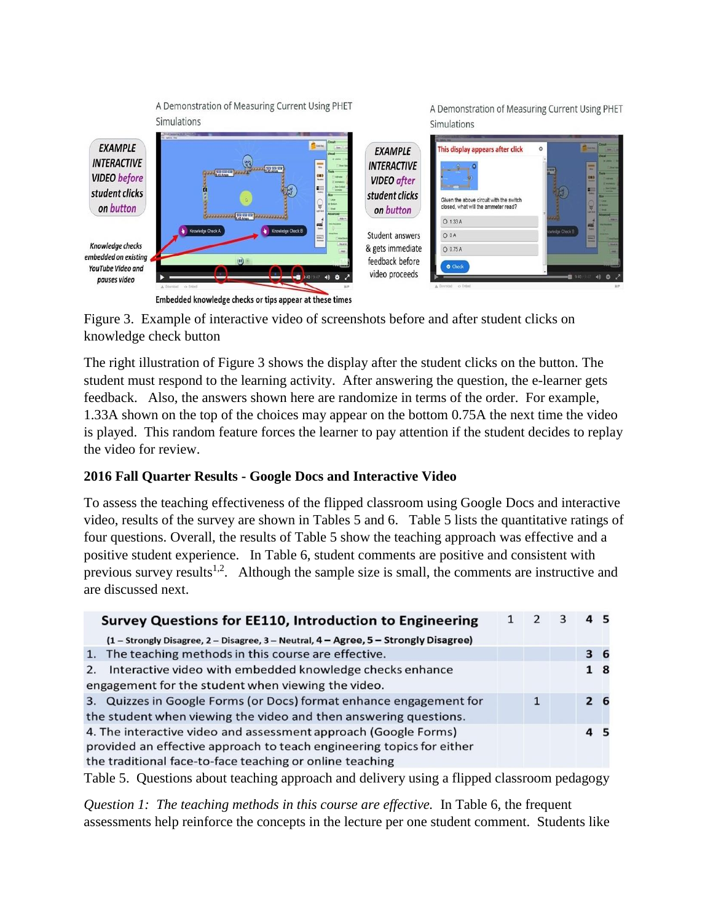A Demonstration of Measuring Current Using PHET **Simulations** 

A Demonstration of Measuring Current Using PHET **Simulations** 

|                                                                                            | Connector 12 DE DIVISION<br><b>Culture Inclu</b>                                                                                                                                                                                                                                                                                                                                                                                          |                                                                                           |                                                                                                                    |                                                                                                                                                         |
|--------------------------------------------------------------------------------------------|-------------------------------------------------------------------------------------------------------------------------------------------------------------------------------------------------------------------------------------------------------------------------------------------------------------------------------------------------------------------------------------------------------------------------------------------|-------------------------------------------------------------------------------------------|--------------------------------------------------------------------------------------------------------------------|---------------------------------------------------------------------------------------------------------------------------------------------------------|
| <b>EXAMPLE</b><br><b>INTERACTIVE</b><br><b>VIDEO</b> before<br>student clicks<br>on button | Crout<br><b>Contag</b><br>$\sqrt{2}$<br>Vieuel<br>(t) magazine<br>π<br><b>EXPERIENCE AND</b><br>$\frac{0}{2}$<br><b>Jan Colle</b><br>۰.<br>哟<br><b>Ammed</b><br>觅<br>Advanced<br><b>Contractor Services</b><br><b>JOSEPHENESS</b>                                                                                                                                                                                                         | <b>EXAMPLE</b><br><b>INTERACTIVE</b><br><b>VIDEO</b> after<br>student clicks<br>on button | This display appears after click<br>Given the above circuit with the switch<br>closed, what will the ammeter read? | <b>C</b><br>$\circ$<br><b>Williams</b><br>$\frac{1}{2}$<br><b>Mar</b><br>en:<br><b>Allen</b><br><b>MARKET</b><br>w.<br><b>COLLEGE</b><br><b>LELUVAR</b> |
| Knowledge checks<br>embedded on existing<br>YouTube Video and<br>pauses video              | <b>ALL</b><br>bas.<br>Knowledge Check B<br>Knowledge Check A<br>显<br><b>Crisis Dark</b><br><b>Asset At</b><br><u> 1940 - 1940 - 1940 - 1940 - 1940 - 1940 - 1940 - 1940 - 1940 - 1940 - 1940 - 1940 - 1940 - 1940 - 1940 - 1940 - 1940 - 1940 - 1940 - 1940 - 1940 - 1940 - 1940 - 1940 - 1940 - 1940 - 1940 - 1940 - 1940 - 1940 - 1940 - 194</u><br>00<br>A Countral o Enter<br>Embedded knowledge checks or tips appear at these times | Student answers<br>& gets immediate<br>feedback before<br>video proceeds                  | O 1.33 A<br>O <sub>O</sub> A<br>O 0.75 A<br><b>O</b> Check<br>A Drambad o Entire                                   | <b>Bank</b><br>edge Check B<br>ᄪ<br><b>Amaz</b><br>М#                                                                                                   |

Figure 3. Example of interactive video of screenshots before and after student clicks on knowledge check button

The right illustration of Figure 3 shows the display after the student clicks on the button. The student must respond to the learning activity. After answering the question, the e-learner gets feedback. Also, the answers shown here are randomize in terms of the order. For example, 1.33A shown on the top of the choices may appear on the bottom 0.75A the next time the video is played. This random feature forces the learner to pay attention if the student decides to replay the video for review.

## **2016 Fall Quarter Results - Google Docs and Interactive Video**

To assess the teaching effectiveness of the flipped classroom using Google Docs and interactive video, results of the survey are shown in Tables 5 and 6. Table 5 lists the quantitative ratings of four questions. Overall, the results of Table 5 show the teaching approach was effective and a positive student experience. In Table 6, student comments are positive and consistent with previous survey results<sup>1,2</sup>. Although the sample size is small, the comments are instructive and are discussed next.

| <b>Survey Questions for EE110, Introduction to Engineering</b>                       |  |   | з | 45 |                |
|--------------------------------------------------------------------------------------|--|---|---|----|----------------|
| (1 - Strongly Disagree, 2 - Disagree, 3 - Neutral, 4 - Agree, 5 - Strongly Disagree) |  |   |   |    |                |
| 1. The teaching methods in this course are effective.                                |  |   |   |    | 36             |
| Interactive video with embedded knowledge checks enhance<br>2.                       |  |   |   |    | 18             |
| engagement for the student when viewing the video.                                   |  |   |   |    |                |
| 3. Quizzes in Google Forms (or Docs) format enhance engagement for                   |  | 1 |   |    | 2 <sub>6</sub> |
| the student when viewing the video and then answering questions.                     |  |   |   |    |                |
| 4. The interactive video and assessment approach (Google Forms)                      |  |   |   | 45 |                |
| provided an effective approach to teach engineering topics for either                |  |   |   |    |                |
| the traditional face-to-face teaching or online teaching                             |  |   |   |    |                |

Table 5. Questions about teaching approach and delivery using a flipped classroom pedagogy

*Question 1: The teaching methods in this course are effective.* In Table 6, the frequent assessments help reinforce the concepts in the lecture per one student comment. Students like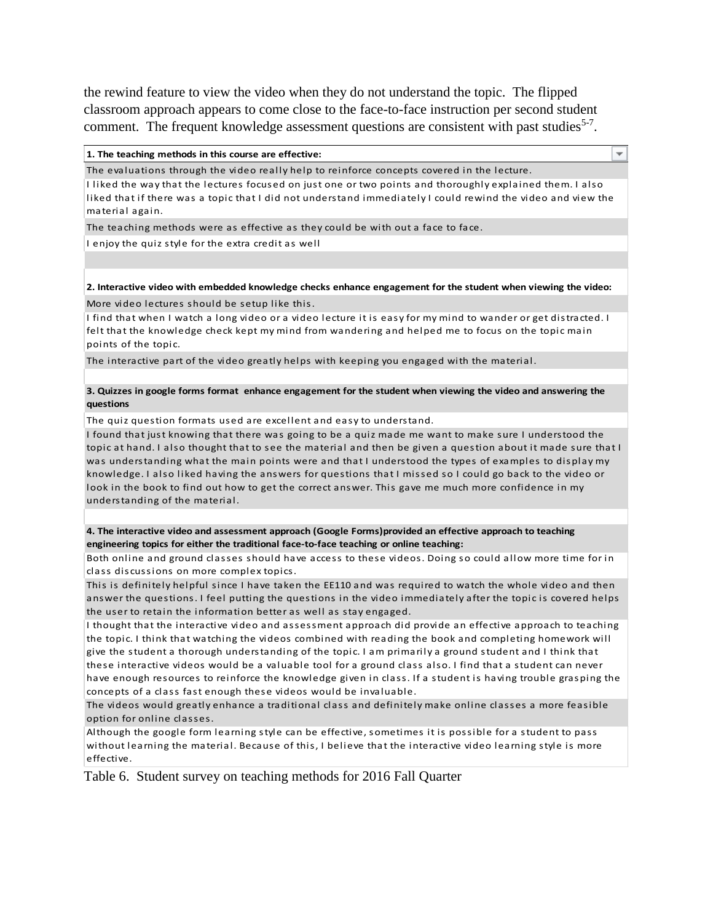the rewind feature to view the video when they do not understand the topic. The flipped classroom approach appears to come close to the face-to-face instruction per second student comment. The frequent knowledge assessment questions are consistent with past studies<sup>5-7</sup>.

#### **1. The teaching methods in this course are effective:**

The evaluations through the video really help to reinforce concepts covered in the lecture. I liked the way that the lectures focused on just one or two points and thoroughly explained them. I also liked that if there was a topic that I did not understand immediately I could rewind the video and view the material again.

÷

The teaching methods were as effective as they could be with out a face to face.

I enjoy the quiz style for the extra credit as well

#### **2. Interactive video with embedded knowledge checks enhance engagement for the student when viewing the video:** More video lectures should be setup like this.

I find that when I watch a long video or a video lecture it is easy for my mind to wander or get distracted. I felt that the knowledge check kept my mind from wandering and helped me to focus on the topic main points of the topic.

The interactive part of the video greatly helps with keeping you engaged with the material.

#### **3. Quizzes in google forms format enhance engagement for the student when viewing the video and answering the questions**

The quiz question formats used are excellent and easy to understand.

I found that just knowing that there was going to be a quiz made me want to make sure I understood the topic at hand. I also thought that to see the material and then be given a question about it made sure that I was understanding what the main points were and that I understood the types of examples to display my knowledge. I also liked having the answers for questions that I missed so I could go back to the video or look in the book to find out how to get the correct answer. This gave me much more confidence in my understanding of the material.

#### **4. The interactive video and assessment approach (Google Forms)provided an effective approach to teaching engineering topics for either the traditional face-to-face teaching or online teaching:**

Both online and ground classes should have access to these videos. Doing so could allow more time for in class discussions on more complex topics.

This is definitely helpful since I have taken the EE110 and was required to watch the whole video and then answer the questions. I feel putting the questions in the video immediately after the topic is covered helps the user to retain the information better as well as stay engaged.

I thought that the interactive video and assessment approach did provide an effective approach to teaching the topic. I think that watching the videos combined with reading the book and completing homework will give the student a thorough understanding of the topic. I am primarily a ground student and I think that these interactive videos would be a valuable tool for a ground class also. I find that a student can never have enough resources to reinforce the knowledge given in class. If a student is having trouble grasping the concepts of a class fast enough these videos would be invaluable.

The videos would greatly enhance a traditional class and definitely make online classes a more feasible option for online classes.

Although the google form learning style can be effective, sometimes it is possible for a student to pass without learning the material. Because of this, I believe that the interactive video learning style is more effective.

Table 6. Student survey on teaching methods for 2016 Fall Quarter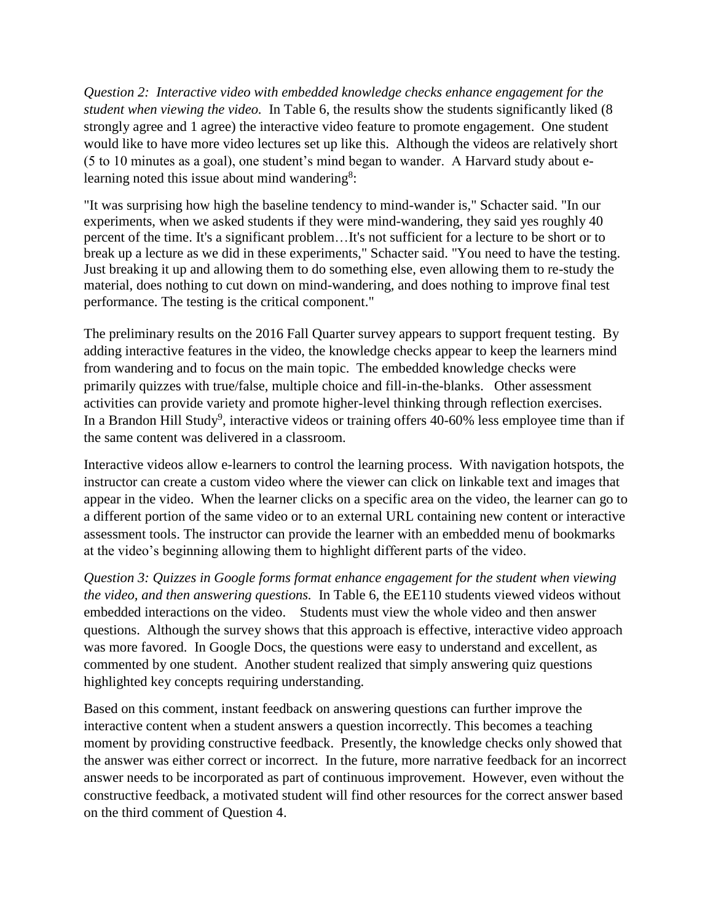*Question 2: Interactive video with embedded knowledge checks enhance engagement for the student when viewing the video.* In Table 6, the results show the students significantly liked (8 strongly agree and 1 agree) the interactive video feature to promote engagement. One student would like to have more video lectures set up like this. Although the videos are relatively short (5 to 10 minutes as a goal), one student's mind began to wander. A Harvard study about elearning noted this issue about mind wandering<sup>8</sup>:

"It was surprising how high the baseline tendency to mind-wander is," Schacter said. "In our experiments, when we asked students if they were mind-wandering, they said yes roughly 40 percent of the time. It's a significant problem…It's not sufficient for a lecture to be short or to break up a lecture as we did in these experiments," Schacter said. "You need to have the testing. Just breaking it up and allowing them to do something else, even allowing them to re-study the material, does nothing to cut down on mind-wandering, and does nothing to improve final test performance. The testing is the critical component."

The preliminary results on the 2016 Fall Quarter survey appears to support frequent testing. By adding interactive features in the video, the knowledge checks appear to keep the learners mind from wandering and to focus on the main topic. The embedded knowledge checks were primarily quizzes with true/false, multiple choice and fill-in-the-blanks. Other assessment activities can provide variety and promote higher-level thinking through reflection exercises. In a Brandon Hill Study<sup>9</sup>, interactive videos or training offers  $40-60\%$  less employee time than if the same content was delivered in a classroom.

Interactive videos allow e-learners to control the learning process. With navigation hotspots, the instructor can create a custom video where the viewer can click on linkable text and images that appear in the video. When the learner clicks on a specific area on the video, the learner can go to a different portion of the same video or to an external URL containing new content or interactive assessment tools. The instructor can provide the learner with an embedded menu of bookmarks at the video's beginning allowing them to highlight different parts of the video.

*Question 3: Quizzes in Google forms format enhance engagement for the student when viewing the video, and then answering questions.* In Table 6, the EE110 students viewed videos without embedded interactions on the video. Students must view the whole video and then answer questions. Although the survey shows that this approach is effective, interactive video approach was more favored. In Google Docs, the questions were easy to understand and excellent, as commented by one student. Another student realized that simply answering quiz questions highlighted key concepts requiring understanding.

Based on this comment, instant feedback on answering questions can further improve the interactive content when a student answers a question incorrectly. This becomes a teaching moment by providing constructive feedback. Presently, the knowledge checks only showed that the answer was either correct or incorrect. In the future, more narrative feedback for an incorrect answer needs to be incorporated as part of continuous improvement. However, even without the constructive feedback, a motivated student will find other resources for the correct answer based on the third comment of Question 4.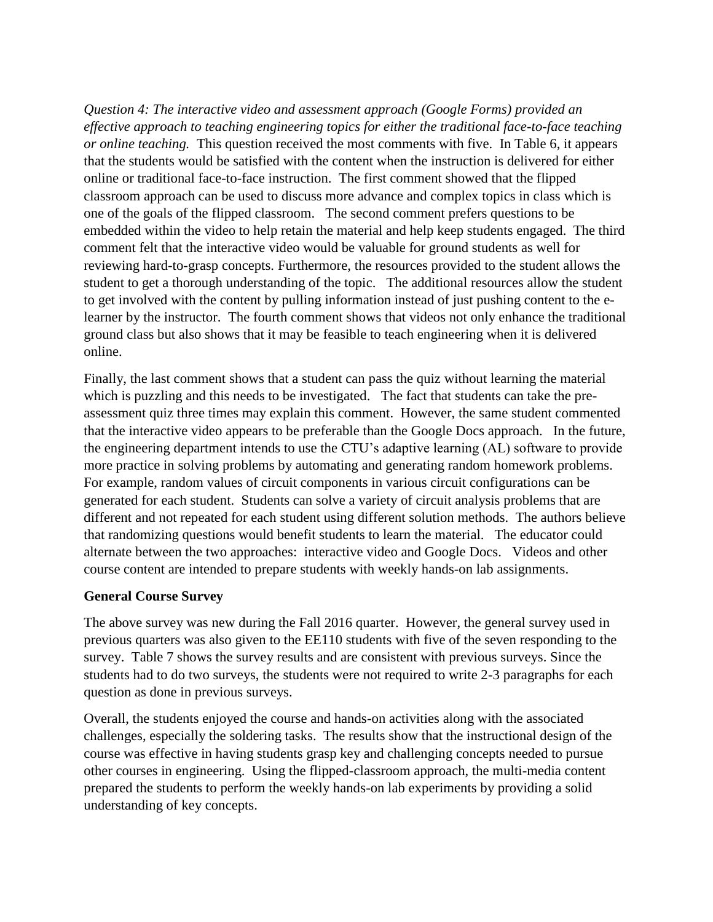*Question 4: The interactive video and assessment approach (Google Forms) provided an effective approach to teaching engineering topics for either the traditional face-to-face teaching or online teaching.* This question received the most comments with five. In Table 6, it appears that the students would be satisfied with the content when the instruction is delivered for either online or traditional face-to-face instruction. The first comment showed that the flipped classroom approach can be used to discuss more advance and complex topics in class which is one of the goals of the flipped classroom. The second comment prefers questions to be embedded within the video to help retain the material and help keep students engaged. The third comment felt that the interactive video would be valuable for ground students as well for reviewing hard-to-grasp concepts. Furthermore, the resources provided to the student allows the student to get a thorough understanding of the topic. The additional resources allow the student to get involved with the content by pulling information instead of just pushing content to the elearner by the instructor. The fourth comment shows that videos not only enhance the traditional ground class but also shows that it may be feasible to teach engineering when it is delivered online.

Finally, the last comment shows that a student can pass the quiz without learning the material which is puzzling and this needs to be investigated. The fact that students can take the preassessment quiz three times may explain this comment. However, the same student commented that the interactive video appears to be preferable than the Google Docs approach. In the future, the engineering department intends to use the CTU's adaptive learning (AL) software to provide more practice in solving problems by automating and generating random homework problems. For example, random values of circuit components in various circuit configurations can be generated for each student. Students can solve a variety of circuit analysis problems that are different and not repeated for each student using different solution methods. The authors believe that randomizing questions would benefit students to learn the material. The educator could alternate between the two approaches: interactive video and Google Docs. Videos and other course content are intended to prepare students with weekly hands-on lab assignments.

### **General Course Survey**

The above survey was new during the Fall 2016 quarter. However, the general survey used in previous quarters was also given to the EE110 students with five of the seven responding to the survey. Table 7 shows the survey results and are consistent with previous surveys. Since the students had to do two surveys, the students were not required to write 2-3 paragraphs for each question as done in previous surveys.

Overall, the students enjoyed the course and hands-on activities along with the associated challenges, especially the soldering tasks. The results show that the instructional design of the course was effective in having students grasp key and challenging concepts needed to pursue other courses in engineering. Using the flipped-classroom approach, the multi-media content prepared the students to perform the weekly hands-on lab experiments by providing a solid understanding of key concepts.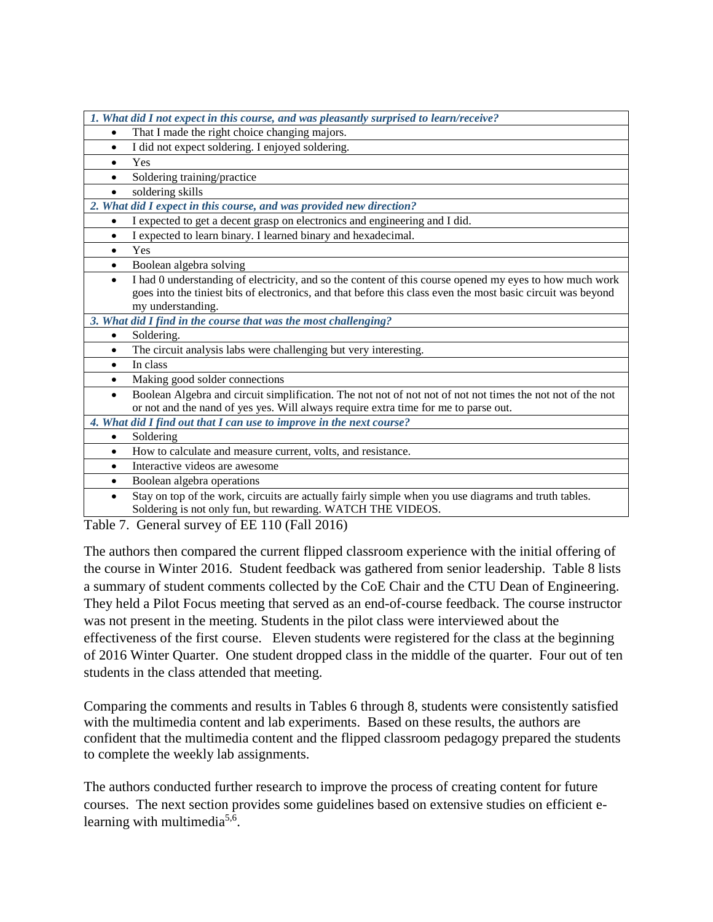| 1. What did I not expect in this course, and was pleasantly surprised to learn/receive?                                 |
|-------------------------------------------------------------------------------------------------------------------------|
| That I made the right choice changing majors.<br>$\bullet$                                                              |
| I did not expect soldering. I enjoyed soldering.<br>$\bullet$                                                           |
| Yes<br>$\bullet$                                                                                                        |
| Soldering training/practice                                                                                             |
| soldering skills<br>$\bullet$                                                                                           |
| 2. What did I expect in this course, and was provided new direction?                                                    |
| I expected to get a decent grasp on electronics and engineering and I did.<br>$\bullet$                                 |
| I expected to learn binary. I learned binary and hexadecimal.<br>$\bullet$                                              |
| Yes<br>$\bullet$                                                                                                        |
| Boolean algebra solving<br>$\bullet$                                                                                    |
| I had 0 understanding of electricity, and so the content of this course opened my eyes to how much work<br>$\bullet$    |
| goes into the tiniest bits of electronics, and that before this class even the most basic circuit was beyond            |
| my understanding.                                                                                                       |
| 3. What did I find in the course that was the most challenging?                                                         |
| Soldering.<br>$\bullet$                                                                                                 |
| The circuit analysis labs were challenging but very interesting.<br>$\bullet$                                           |
| In class<br>$\bullet$                                                                                                   |
| Making good solder connections<br>$\bullet$                                                                             |
| Boolean Algebra and circuit simplification. The not not of not not of not not times the not not of the not<br>$\bullet$ |
| or not and the nand of yes yes. Will always require extra time for me to parse out.                                     |
| 4. What did I find out that I can use to improve in the next course?                                                    |
| Soldering<br>٠                                                                                                          |
| How to calculate and measure current, volts, and resistance.<br>$\bullet$                                               |
| Interactive videos are awesome<br>$\bullet$                                                                             |
| Boolean algebra operations                                                                                              |
| Stay on top of the work, circuits are actually fairly simple when you use diagrams and truth tables.<br>$\bullet$       |
| Soldering is not only fun, but rewarding. WATCH THE VIDEOS.                                                             |
| $Conord$ survey of $EE$ 110 $(E_011.2016)$<br>$_{\rm{Toh1o}}$ 7                                                         |

Table 7. General survey of EE 110 (Fall 2016)

The authors then compared the current flipped classroom experience with the initial offering of the course in Winter 2016. Student feedback was gathered from senior leadership. Table 8 lists a summary of student comments collected by the CoE Chair and the CTU Dean of Engineering. They held a Pilot Focus meeting that served as an end-of-course feedback. The course instructor was not present in the meeting. Students in the pilot class were interviewed about the effectiveness of the first course. Eleven students were registered for the class at the beginning of 2016 Winter Quarter. One student dropped class in the middle of the quarter. Four out of ten students in the class attended that meeting.

Comparing the comments and results in Tables 6 through 8, students were consistently satisfied with the multimedia content and lab experiments. Based on these results, the authors are confident that the multimedia content and the flipped classroom pedagogy prepared the students to complete the weekly lab assignments.

The authors conducted further research to improve the process of creating content for future courses. The next section provides some guidelines based on extensive studies on efficient elearning with multimedia<sup>5,6</sup>.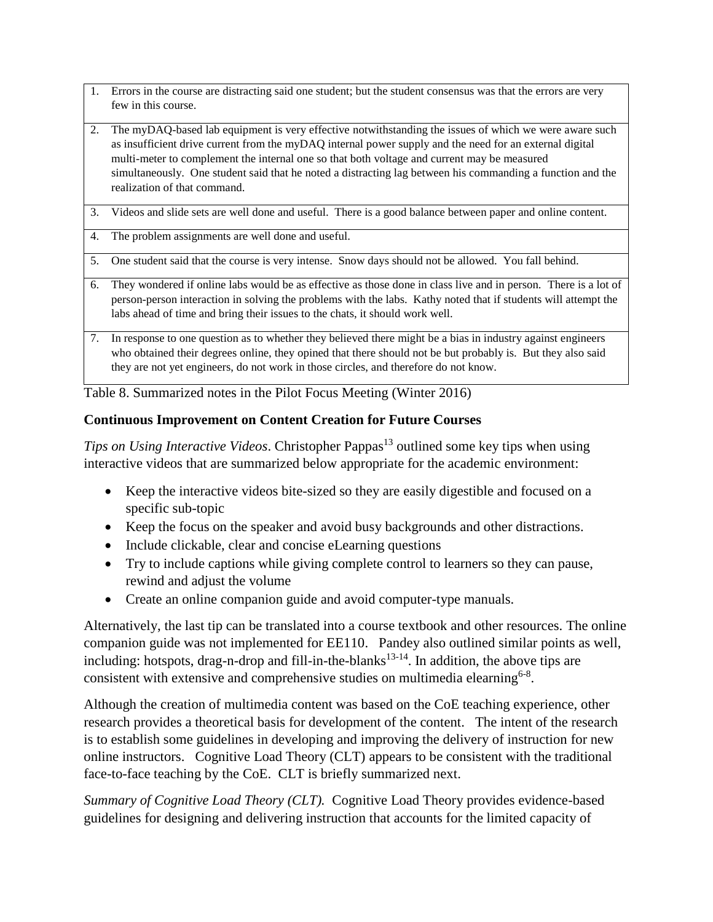- 1. Errors in the course are distracting said one student; but the student consensus was that the errors are very few in this course.
- 2. The myDAQ-based lab equipment is very effective notwithstanding the issues of which we were aware such as insufficient drive current from the myDAQ internal power supply and the need for an external digital multi-meter to complement the internal one so that both voltage and current may be measured simultaneously. One student said that he noted a distracting lag between his commanding a function and the realization of that command.
- 3. Videos and slide sets are well done and useful. There is a good balance between paper and online content.
- 4. The problem assignments are well done and useful.
- 5. One student said that the course is very intense. Snow days should not be allowed. You fall behind.
- 6. They wondered if online labs would be as effective as those done in class live and in person. There is a lot of person-person interaction in solving the problems with the labs. Kathy noted that if students will attempt the labs ahead of time and bring their issues to the chats, it should work well.
- 7. In response to one question as to whether they believed there might be a bias in industry against engineers who obtained their degrees online, they opined that there should not be but probably is. But they also said they are not yet engineers, do not work in those circles, and therefore do not know.

Table 8. Summarized notes in the Pilot Focus Meeting (Winter 2016)

## **Continuous Improvement on Content Creation for Future Courses**

*Tips on Using Interactive Videos.* Christopher Pappas<sup>13</sup> outlined some key tips when using interactive videos that are summarized below appropriate for the academic environment:

- Keep the interactive videos bite-sized so they are easily digestible and focused on a specific sub-topic
- Keep the focus on the speaker and avoid busy backgrounds and other distractions.
- Include clickable, clear and concise eLearning questions
- Try to include captions while giving complete control to learners so they can pause, rewind and adjust the volume
- Create an online companion guide and avoid computer-type manuals.

Alternatively, the last tip can be translated into a course textbook and other resources. The online companion guide was not implemented for EE110. Pandey also outlined similar points as well, including: hotspots, drag-n-drop and fill-in-the-blanks<sup>13-14</sup>. In addition, the above tips are consistent with extensive and comprehensive studies on multimedia elearning<sup>6-8</sup>.

Although the creation of multimedia content was based on the CoE teaching experience, other research provides a theoretical basis for development of the content. The intent of the research is to establish some guidelines in developing and improving the delivery of instruction for new online instructors. Cognitive Load Theory (CLT) appears to be consistent with the traditional face-to-face teaching by the CoE. CLT is briefly summarized next.

*Summary of Cognitive Load Theory (CLT).* Cognitive Load Theory provides evidence-based guidelines for designing and delivering instruction that accounts for the limited capacity of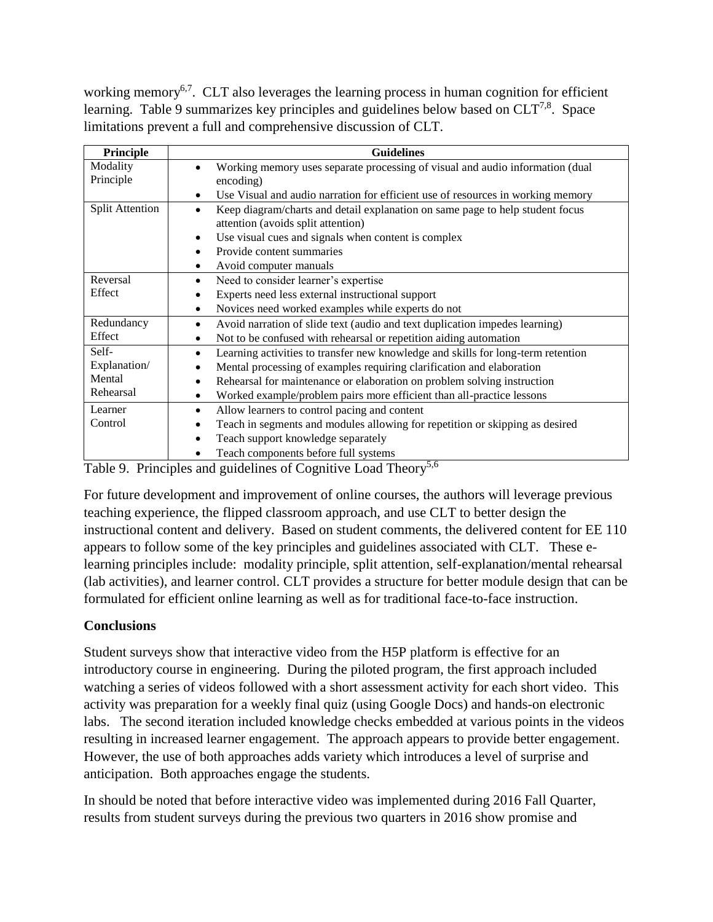working memory<sup>6,7</sup>. CLT also leverages the learning process in human cognition for efficient learning. Table 9 summarizes key principles and guidelines below based on  $CLT^{7,8}$ . Space limitations prevent a full and comprehensive discussion of CLT.

| Principle              | <b>Guidelines</b>                                                                |
|------------------------|----------------------------------------------------------------------------------|
| Modality               | Working memory uses separate processing of visual and audio information (dual    |
| Principle              | encoding)                                                                        |
|                        | Use Visual and audio narration for efficient use of resources in working memory  |
| <b>Split Attention</b> | Keep diagram/charts and detail explanation on same page to help student focus    |
|                        | attention (avoids split attention)                                               |
|                        | Use visual cues and signals when content is complex<br>٠                         |
|                        | Provide content summaries                                                        |
|                        | Avoid computer manuals                                                           |
| Reversal               | Need to consider learner's expertise                                             |
| Effect                 | Experts need less external instructional support                                 |
|                        | Novices need worked examples while experts do not                                |
| Redundancy             | Avoid narration of slide text (audio and text duplication impedes learning)      |
| Effect                 | Not to be confused with rehearsal or repetition aiding automation                |
| Self-                  | Learning activities to transfer new knowledge and skills for long-term retention |
| Explanation/           | Mental processing of examples requiring clarification and elaboration            |
| Mental                 | Rehearsal for maintenance or elaboration on problem solving instruction          |
| Rehearsal              | Worked example/problem pairs more efficient than all-practice lessons            |
| Learner                | Allow learners to control pacing and content                                     |
| Control                | Teach in segments and modules allowing for repetition or skipping as desired     |
|                        | Teach support knowledge separately<br>٠                                          |
|                        | Teach components before full systems<br>$\epsilon$ $\epsilon$                    |

Table 9. Principles and guidelines of Cognitive Load Theory<sup>5,6</sup>

For future development and improvement of online courses, the authors will leverage previous teaching experience, the flipped classroom approach, and use CLT to better design the instructional content and delivery. Based on student comments, the delivered content for EE 110 appears to follow some of the key principles and guidelines associated with CLT. These elearning principles include: modality principle, split attention, self-explanation/mental rehearsal (lab activities), and learner control. CLT provides a structure for better module design that can be formulated for efficient online learning as well as for traditional face-to-face instruction.

# **Conclusions**

Student surveys show that interactive video from the H5P platform is effective for an introductory course in engineering. During the piloted program, the first approach included watching a series of videos followed with a short assessment activity for each short video. This activity was preparation for a weekly final quiz (using Google Docs) and hands-on electronic labs. The second iteration included knowledge checks embedded at various points in the videos resulting in increased learner engagement. The approach appears to provide better engagement. However, the use of both approaches adds variety which introduces a level of surprise and anticipation. Both approaches engage the students.

In should be noted that before interactive video was implemented during 2016 Fall Quarter, results from student surveys during the previous two quarters in 2016 show promise and